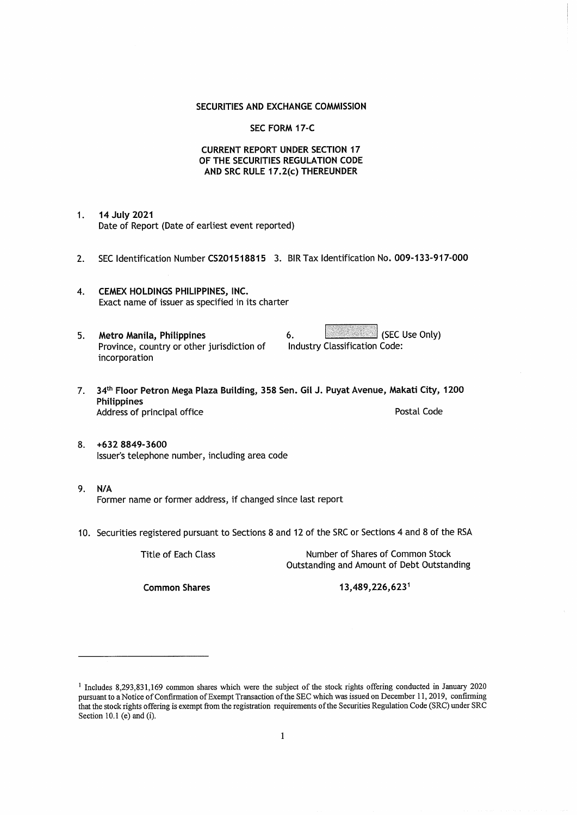#### SECURITIES AND EXCHANGE COMMISSION

#### **SEC FORM 17-C**

## **CURRENT REPORT UNDER SECTION 17** OF THE SECURITIES REGULATION CODE AND SRC RULE 17.2(c) THEREUNDER

- 14 July 2021  $1.$ Date of Report (Date of earliest event reported)
- SEC Identification Number CS201518815 3. BIR Tax Identification No. 009-133-917-000  $2.$
- CEMEX HOLDINGS PHILIPPINES, INC. 4. Exact name of issuer as specified in its charter
- Metro Manila, Philippines  $5.$ Province, country or other jurisdiction of incorporation



- 34th Floor Petron Mega Plaza Building, 358 Sen. Gil J. Puyat Avenue, Makati City, 1200  $7.$ **Philippines** Postal Code Address of principal office
- 8. +632 8849-3600 Issuer's telephone number, including area code
- 9.  $N/A$ Former name or former address, if changed since last report
- 10. Securities registered pursuant to Sections 8 and 12 of the SRC or Sections 4 and 8 of the RSA

Title of Each Class

Number of Shares of Common Stock Outstanding and Amount of Debt Outstanding

**Common Shares** 

13,489,226,6231

<sup>&</sup>lt;sup>1</sup> Includes 8,293,831,169 common shares which were the subject of the stock rights offering conducted in January 2020 pursuant to a Notice of Confirmation of Exempt Transaction of the SEC which was issued on December 11, 2019, confirming that the stock rights offering is exempt from the registration requirements of the Securities Regulation Code (SRC) under SRC Section 10.1 (e) and (i).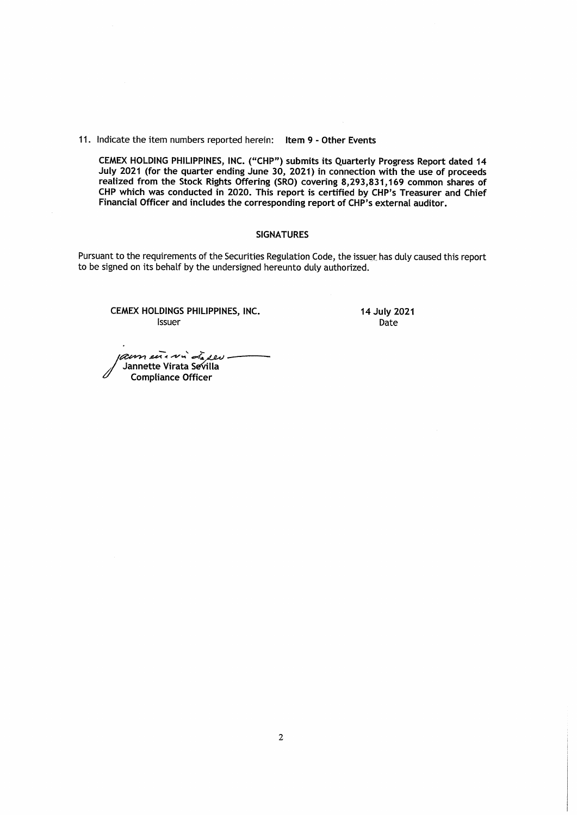11. Indicate the item numbers reported herein: Item 9 - Other Events

CEMEX HOLDING PHILIPPINES, INC. ("CHP") submits its Quarterly Progress Report dated 14<br>July 2021 (for the quarter ending June 30, 2021) in connection with the use of proceeds realized from the Stock Rights Offering (SRO) covering 8,293,831,169 common shares of CHP which was conducted in 2020. This report is certified by CHP's Treasurer and Chief Financial Officer and includes the corresponding report of CHP's external auditor.

## **SIGNATURES**

Pursuant to the requirements of the Securities Regulation Code, the issuer has duly caused this report to be signed on its behalf by the undersigned hereunto duly authorized.

CEMEX HOLDINGS PHILIPPINES, INC. Issuer

14 July 2021 Date

vauneur vi Leser Jannette Virata Sevilla **Compliance Officer**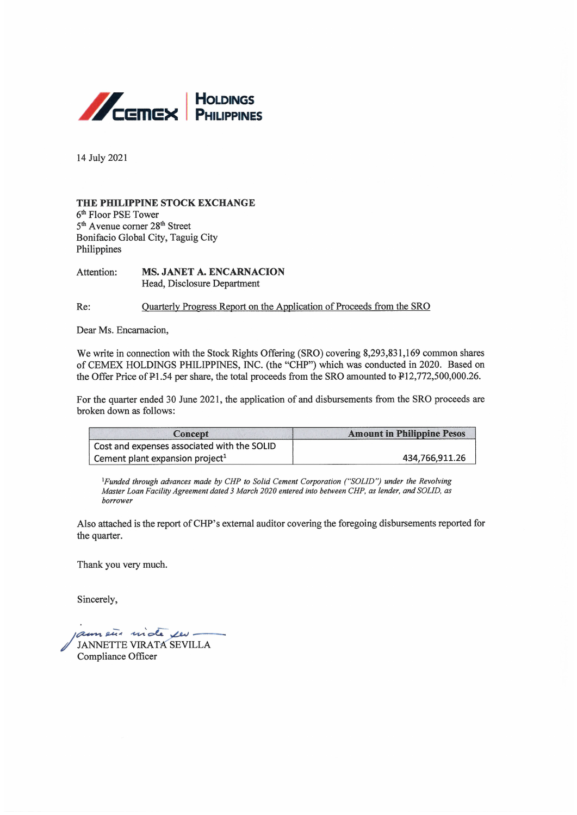

14 July 2021

## THE PHILIPPINE STOCK EXCHANGE

6<sup>th</sup> Floor PSE Tower 5<sup>th</sup> Avenue corner 28<sup>th</sup> Street Bonifacio Global City, Taguig City Philippines

Attention: **MS. JANET A. ENCARNACION** Head, Disclosure Department

Quarterly Progress Report on the Application of Proceeds from the SRO Re:

Dear Ms. Encarnacion,

We write in connection with the Stock Rights Offering (SRO) covering 8,293,831,169 common shares of CEMEX HOLDINGS PHILIPPINES, INC. (the "CHP") which was conducted in 2020. Based on the Offer Price of P1.54 per share, the total proceeds from the SRO amounted to P12,772,500,000.26.

For the quarter ended 30 June 2021, the application of and disbursements from the SRO proceeds are broken down as follows:

| <b>Concept</b>                              | <b>Amount in Philippine Pesos</b> |
|---------------------------------------------|-----------------------------------|
| Cost and expenses associated with the SOLID |                                   |
| Cement plant expansion project <sup>1</sup> | 434,766,911.26                    |

<sup>1</sup>Funded through advances made by CHP to Solid Cement Corporation ("SOLID") under the Revolving Master Loan Facility Agreement dated 3 March 2020 entered into between CHP, as lender, and SOLID, as borrower

Also attached is the report of CHP's external auditor covering the foregoing disbursements reported for the quarter.

Thank you very much.

Sincerely,

auneur mide en. **JANNETTE VIRATA SEVILLA** 

Compliance Officer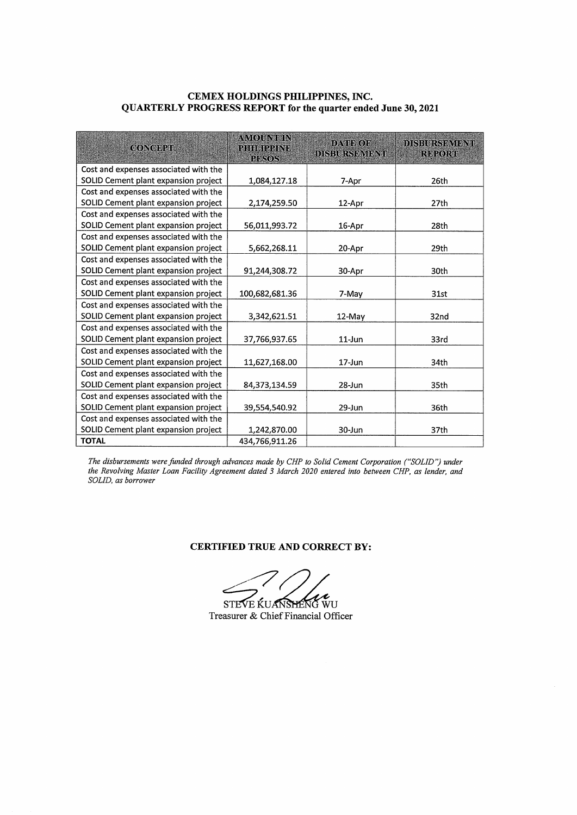# CEMEX HOLDINGS PHILIPPINES, INC.<br>QUARTERLY PROGRESS REPORT for the quarter ended June 30, 2021

| <b>CONCEPT</b>                        | <b>AMOUNT IN</b><br><b>PHILIPPINE</b><br><b>PESOS</b> | <b>DATE OF</b><br>DISBURSEMENT | <b>DISBURSEMENT</b><br><b>REPORT</b> |  |
|---------------------------------------|-------------------------------------------------------|--------------------------------|--------------------------------------|--|
| Cost and expenses associated with the |                                                       |                                |                                      |  |
| SOLID Cement plant expansion project  | 1,084,127.18                                          | 7-Apr                          | 26th                                 |  |
| Cost and expenses associated with the |                                                       |                                |                                      |  |
| SOLID Cement plant expansion project  | 2,174,259.50                                          | 12-Apr                         | 27th                                 |  |
| Cost and expenses associated with the |                                                       |                                |                                      |  |
| SOLID Cement plant expansion project  | 56,011,993.72                                         | 16-Apr                         | 28th                                 |  |
| Cost and expenses associated with the |                                                       |                                |                                      |  |
| SOLID Cement plant expansion project  | 5,662,268.11                                          | 20-Apr                         | 29th                                 |  |
| Cost and expenses associated with the |                                                       |                                |                                      |  |
| SOLID Cement plant expansion project  | 91,244,308.72                                         | 30-Apr                         | 30th                                 |  |
| Cost and expenses associated with the |                                                       |                                |                                      |  |
| SOLID Cement plant expansion project  | 100,682,681.36                                        | 7-May                          | 31st                                 |  |
| Cost and expenses associated with the |                                                       |                                |                                      |  |
| SOLID Cement plant expansion project  | 3,342,621.51                                          | $12$ -May                      | 32nd                                 |  |
| Cost and expenses associated with the |                                                       |                                |                                      |  |
| SOLID Cement plant expansion project  | 37,766,937.65                                         | $11$ -Jun                      | 33rd                                 |  |
| Cost and expenses associated with the |                                                       |                                |                                      |  |
| SOLID Cement plant expansion project  | 11,627,168.00                                         | 17-Jun                         | 34th                                 |  |
| Cost and expenses associated with the |                                                       |                                |                                      |  |
| SOLID Cement plant expansion project  | 84,373,134.59                                         | 28-Jun                         | 35th                                 |  |
| Cost and expenses associated with the |                                                       |                                |                                      |  |
| SOLID Cement plant expansion project  | 39,554,540.92                                         | 29-Jun                         | 36th                                 |  |
| Cost and expenses associated with the |                                                       |                                |                                      |  |
| SOLID Cement plant expansion project  | 1,242,870.00                                          | 30-Jun                         | 37th                                 |  |
| <b>TOTAL</b>                          | 434.766.911.26                                        |                                |                                      |  |

The disbursements were funded through advances made by CHP to Solid Cement Corporation ("SOLID") under the Revolving Master Loan Facility Agreement dated 3 March 2020 entered into between CHP, as lender, and SOLID, as borrower

## **CERTIFIED TRUE AND CORRECT BY:**

STEVE KUANSHENG WU Treasurer & Chief Financial Officer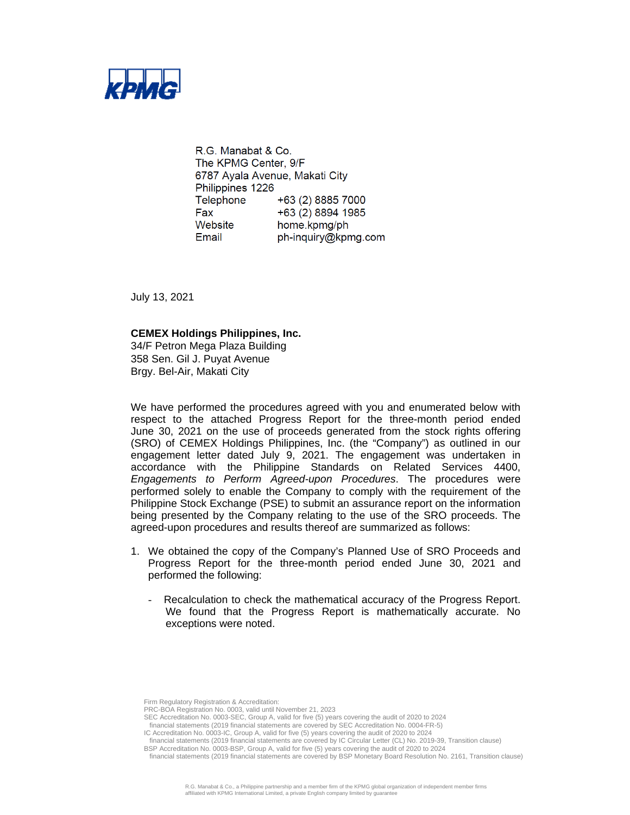

R.G. Manabat & Co. The KPMG Center, 9/F 6787 Ayala Avenue, Makati City Philippines 1226 Telephone +63 (2) 8885 7000 Fax +63 (2) 8894 1985 Website home.kpmg/ph Email ph-inquiry@kpmg.com

July 13, 2021

## **CEMEX Holdings Philippines, Inc.**

34/F Petron Mega Plaza Building 358 Sen. Gil J. Puyat Avenue Brgy. Bel-Air, Makati City

We have performed the procedures agreed with you and enumerated below with respect to the attached Progress Report for the three-month period ended June 30, 2021 on the use of proceeds generated from the stock rights offering (SRO) of CEMEX Holdings Philippines, Inc. (the "Company") as outlined in our engagement letter dated July 9, 2021. The engagement was undertaken in accordance with the Philippine Standards on Related Services 4400, *Engagements to Perform Agreed-upon Procedures*. The procedures were performed solely to enable the Company to comply with the requirement of the Philippine Stock Exchange (PSE) to submit an assurance report on the information being presented by the Company relating to the use of the SRO proceeds. The agreed-upon procedures and results thereof are summarized as follows:

- 1. We obtained the copy of the Company's Planned Use of SRO Proceeds and Progress Report for the three-month period ended June 30, 2021 and performed the following:
	- Recalculation to check the mathematical accuracy of the Progress Report. We found that the Progress Report is mathematically accurate. No exceptions were noted.

Firm Regulatory Registration & Accreditation:

SEC Accreditation No. 0003-SEC, Group A, valid for five (5) years covering the audit of 2020 to 2024

financial statements (2019 financial statements are covered by SEC Accreditation No. 0004-FR-5)

IC Accreditation No. 0003-IC, Group A, valid for five (5) years covering the audit of 2020 to 2024 financial statements (2019 financial statements are covered by IC Circular Letter (CL) No. 2019-39, Transition clause)

PRC-BOA Registration No. 0003, valid until November 21, 2023

BSP Accreditation No. 0003-BSP, Group A, valid for five (5) years covering the audit of 2020 to 2024

financial statements (2019 financial statements are covered by BSP Monetary Board Resolution No. 2161, Transition clause)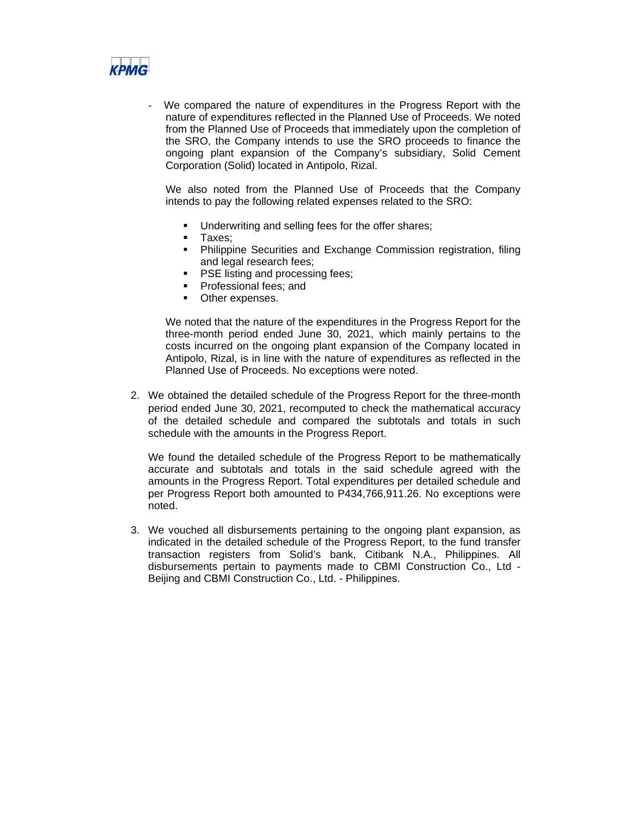

We compared the nature of expenditures in the Progress Report with the nature of expenditures reflected in the Planned Use of Proceeds. We noted from the Planned Use of Proceeds that immediately upon the completion of the SRO, the Company intends to use the SRO proceeds to finance the ongoing plant expansion of the Company's subsidiary, Solid Cement Corporation (Solid) located in Antipolo, Rizal.

We also noted from the Planned Use of Proceeds that the Company intends to pay the following related expenses related to the SRO:

- Underwriting and selling fees for the offer shares;
- **Taxes:**
- **•** Philippine Securities and Exchange Commission registration, filing and legal research fees;
- PSE listing and processing fees;
- Professional fees; and
- **•** Other expenses.

We noted that the nature of the expenditures in the Progress Report for the three-month period ended June 30, 2021, which mainly pertains to the costs incurred on the ongoing plant expansion of the Company located in Antipolo, Rizal, is in line with the nature of expenditures as reflected in the Planned Use of Proceeds. No exceptions were noted.

2. We obtained the detailed schedule of the Progress Report for the three-month period ended June 30, 2021, recomputed to check the mathematical accuracy of the detailed schedule and compared the subtotals and totals in such schedule with the amounts in the Progress Report.

We found the detailed schedule of the Progress Report to be mathematically accurate and subtotals and totals in the said schedule agreed with the amounts in the Progress Report. Total expenditures per detailed schedule and per Progress Report both amounted to P434,766,911.26. No exceptions were noted.

3. We vouched all disbursements pertaining to the ongoing plant expansion, as indicated in the detailed schedule of the Progress Report, to the fund transfer transaction registers from Solid's bank, Citibank N.A., Philippines. All disbursements pertain to payments made to CBMI Construction Co., Ltd - Beijing and CBMI Construction Co., Ltd. - Philippines.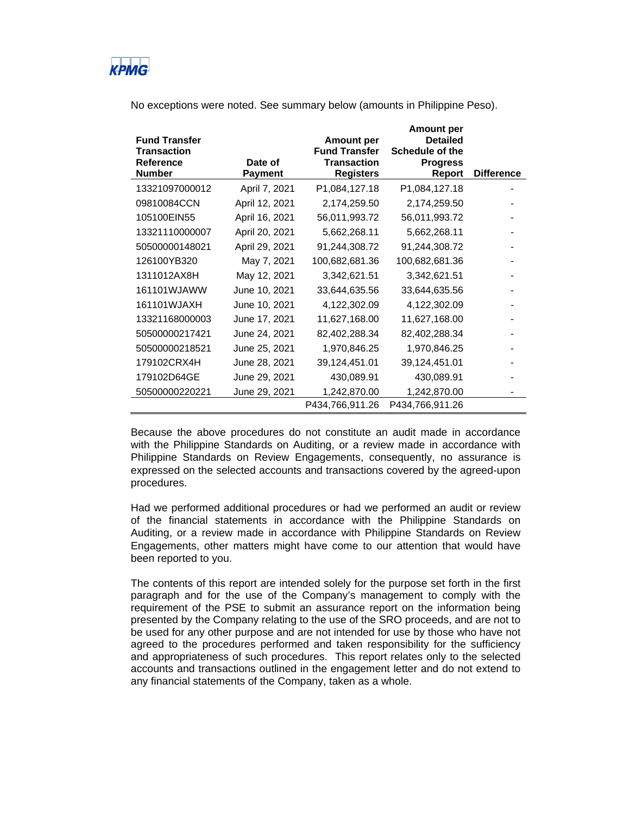

No exceptions were noted. See summary below (amounts in Philippine Peso).

| <b>Fund Transfer</b>            |                | <b>Amount per</b>                          | <b>Amount per</b><br><b>Detailed</b> |                   |
|---------------------------------|----------------|--------------------------------------------|--------------------------------------|-------------------|
| <b>Transaction</b><br>Reference | Date of        | <b>Fund Transfer</b><br><b>Transaction</b> | Schedule of the<br><b>Progress</b>   |                   |
| <b>Number</b>                   | <b>Payment</b> | <b>Registers</b>                           | Report                               | <b>Difference</b> |
| 13321097000012                  | April 7, 2021  | P1,084,127.18                              | P1,084,127.18                        |                   |
| 09810084CCN                     | April 12, 2021 | 2,174,259.50                               | 2,174,259.50                         |                   |
| 105100EIN55                     | April 16, 2021 | 56,011,993.72                              | 56,011,993.72                        |                   |
| 13321110000007                  | April 20, 2021 | 5,662,268.11                               | 5,662,268.11                         |                   |
| 50500000148021                  | April 29, 2021 | 91,244,308.72                              | 91,244,308.72                        |                   |
| 126100YB320                     | May 7, 2021    | 100,682,681.36                             | 100,682,681.36                       |                   |
| 1311012AX8H                     | May 12, 2021   | 3,342,621.51                               | 3,342,621.51                         |                   |
| 161101WJAWW                     | June 10, 2021  | 33,644,635.56                              | 33,644,635.56                        |                   |
| 161101WJAXH                     | June 10, 2021  | 4,122,302.09                               | 4,122,302.09                         |                   |
| 13321168000003                  | June 17, 2021  | 11,627,168.00                              | 11,627,168.00                        |                   |
| 50500000217421                  | June 24, 2021  | 82,402,288.34                              | 82,402,288.34                        |                   |
| 50500000218521                  | June 25, 2021  | 1,970,846.25                               | 1,970,846.25                         |                   |
| 179102CRX4H                     | June 28, 2021  | 39,124,451.01                              | 39,124,451.01                        |                   |
| 179102D64GE                     | June 29, 2021  | 430,089.91                                 | 430,089.91                           |                   |
| 50500000220221                  | June 29, 2021  | 1,242,870.00                               | 1,242,870.00                         |                   |
|                                 |                | P434,766,911.26                            | P434,766,911.26                      |                   |

Because the above procedures do not constitute an audit made in accordance with the Philippine Standards on Auditing, or a review made in accordance with Philippine Standards on Review Engagements, consequently, no assurance is expressed on the selected accounts and transactions covered by the agreed-upon procedures.

Had we performed additional procedures or had we performed an audit or review of the financial statements in accordance with the Philippine Standards on Auditing, or a review made in accordance with Philippine Standards on Review Engagements, other matters might have come to our attention that would have been reported to you.

The contents of this report are intended solely for the purpose set forth in the first paragraph and for the use of the Company's management to comply with the requirement of the PSE to submit an assurance report on the information being presented by the Company relating to the use of the SRO proceeds, and are not to be used for any other purpose and are not intended for use by those who have not agreed to the procedures performed and taken responsibility for the sufficiency and appropriateness of such procedures. This report relates only to the selected accounts and transactions outlined in the engagement letter and do not extend to any financial statements of the Company, taken as a whole.